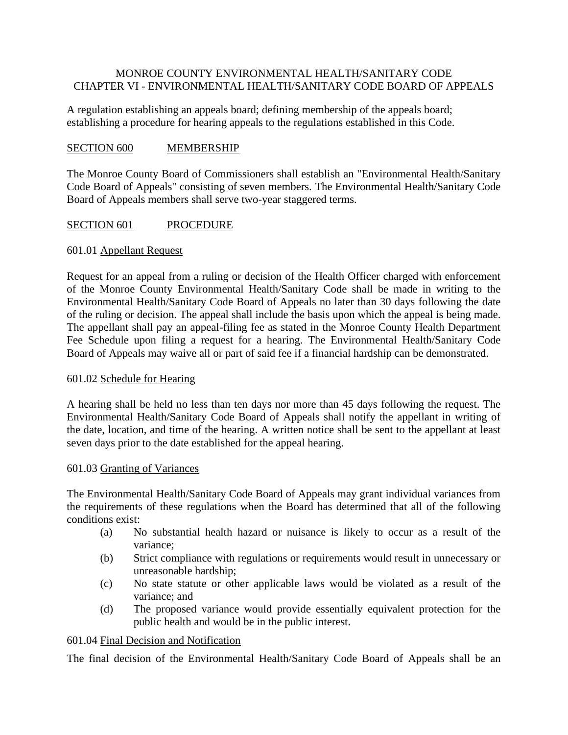# MONROE COUNTY ENVIRONMENTAL HEALTH/SANITARY CODE CHAPTER VI - ENVIRONMENTAL HEALTH/SANITARY CODE BOARD OF APPEALS

A regulation establishing an appeals board; defining membership of the appeals board; establishing a procedure for hearing appeals to the regulations established in this Code.

# SECTION 600 MEMBERSHIP

The Monroe County Board of Commissioners shall establish an "Environmental Health/Sanitary Code Board of Appeals" consisting of seven members. The Environmental Health/Sanitary Code Board of Appeals members shall serve two-year staggered terms.

# SECTION 601 PROCEDURE

### 601.01 Appellant Request

Request for an appeal from a ruling or decision of the Health Officer charged with enforcement of the Monroe County Environmental Health/Sanitary Code shall be made in writing to the Environmental Health/Sanitary Code Board of Appeals no later than 30 days following the date of the ruling or decision. The appeal shall include the basis upon which the appeal is being made. The appellant shall pay an appeal-filing fee as stated in the Monroe County Health Department Fee Schedule upon filing a request for a hearing. The Environmental Health/Sanitary Code Board of Appeals may waive all or part of said fee if a financial hardship can be demonstrated.

### 601.02 Schedule for Hearing

A hearing shall be held no less than ten days nor more than 45 days following the request. The Environmental Health/Sanitary Code Board of Appeals shall notify the appellant in writing of the date, location, and time of the hearing. A written notice shall be sent to the appellant at least seven days prior to the date established for the appeal hearing.

#### 601.03 Granting of Variances

The Environmental Health/Sanitary Code Board of Appeals may grant individual variances from the requirements of these regulations when the Board has determined that all of the following conditions exist:

- (a) No substantial health hazard or nuisance is likely to occur as a result of the variance;
- (b) Strict compliance with regulations or requirements would result in unnecessary or unreasonable hardship;
- (c) No state statute or other applicable laws would be violated as a result of the variance; and
- (d) The proposed variance would provide essentially equivalent protection for the public health and would be in the public interest.

### 601.04 Final Decision and Notification

The final decision of the Environmental Health/Sanitary Code Board of Appeals shall be an